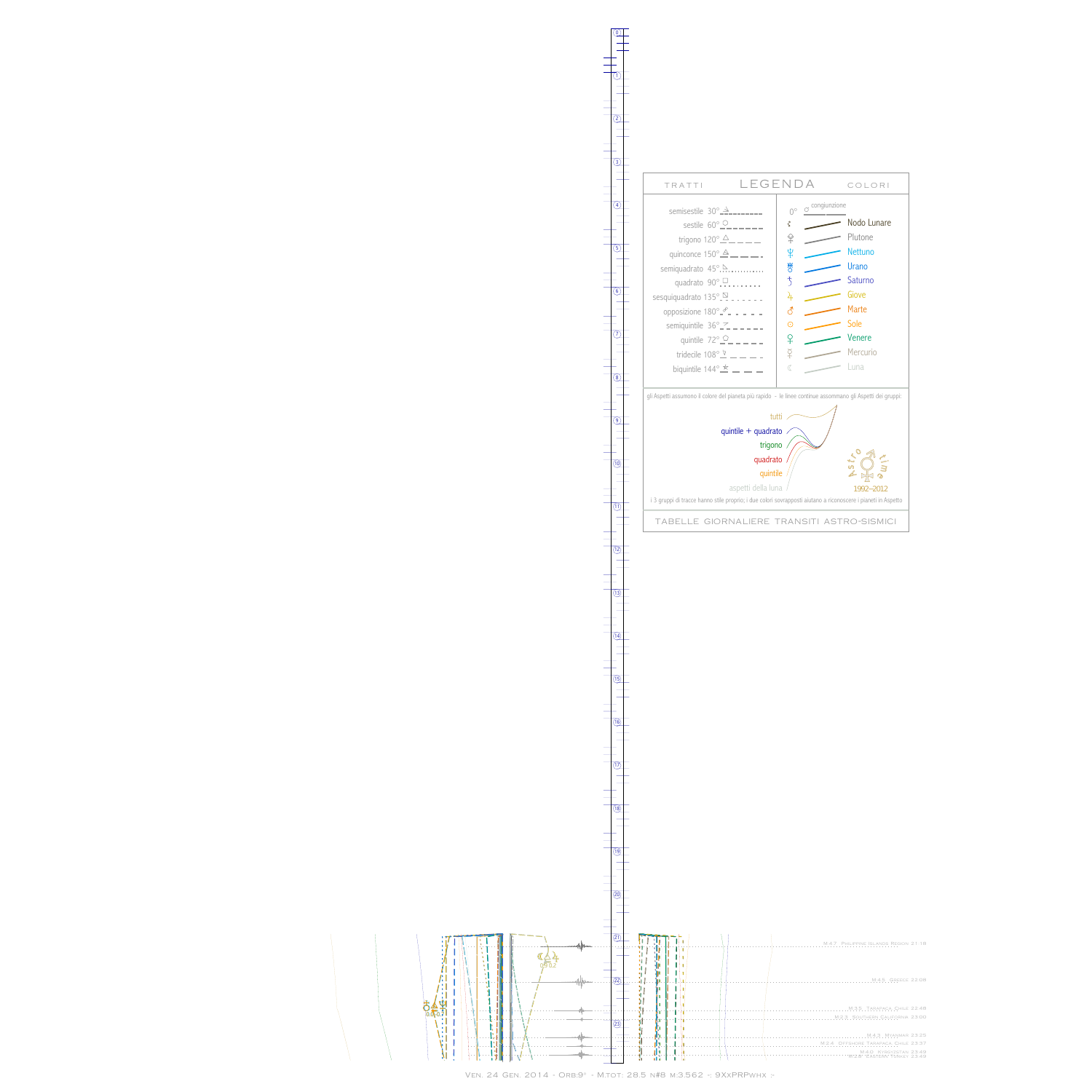$\bar{\mathbb{F}}$  $0.0 - 0$